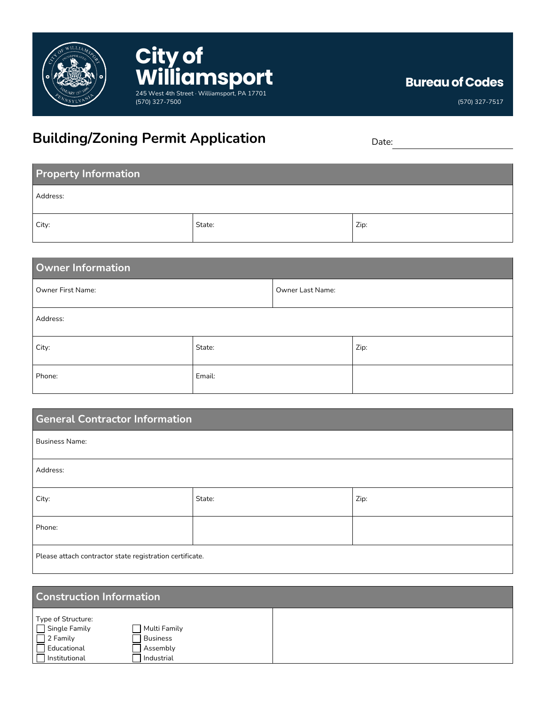

## **Building/Zoning Permit Application** Date:

(570) 327-7500

**City of** 

WilliamSport

**Bureau of Codes**

(570) 327-7517

| <b>Property Information</b> |        |      |  |
|-----------------------------|--------|------|--|
| Address:                    |        |      |  |
| City:                       | State: | Zip: |  |

| Owner Information |        |                  |      |
|-------------------|--------|------------------|------|
| Owner First Name: |        | Owner Last Name: |      |
| Address:          |        |                  |      |
| City:             | State: |                  | Zip: |
| Phone:            | Email: |                  |      |

| <b>General Contractor Information</b>                    |        |      |
|----------------------------------------------------------|--------|------|
| <b>Business Name:</b>                                    |        |      |
| Address:                                                 |        |      |
| City:                                                    | State: | Zip: |
| Phone:                                                   |        |      |
| Please attach contractor state registration certificate. |        |      |

| <b>Construction Information</b>                                                                 |                                                           |  |  |
|-------------------------------------------------------------------------------------------------|-----------------------------------------------------------|--|--|
| Type of Structure:<br>$\Box$ Single Family<br>2 Family<br>$\sqcap$ Educational<br>Institutional | Multi Family<br><b>Business</b><br>Assembly<br>Industrial |  |  |